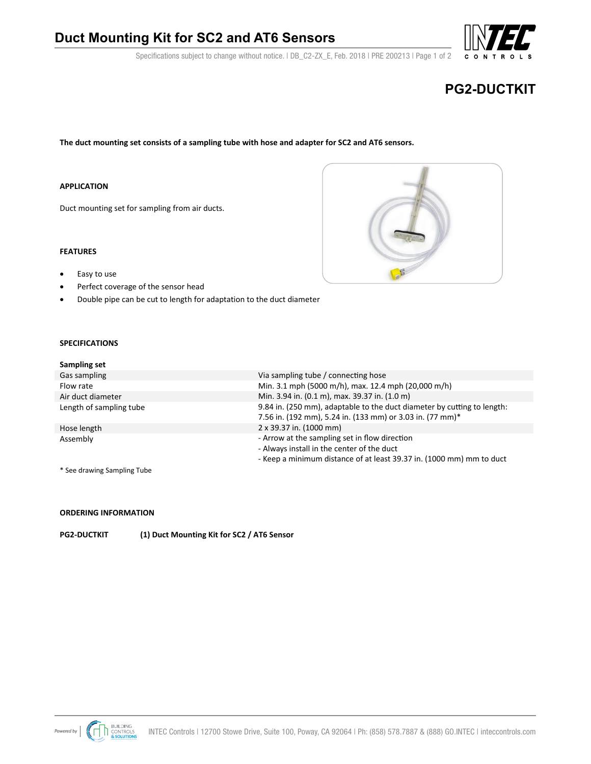## **Duct Mounting Kit for SC2 and AT6 Sensors**

Specifications subject to change without notice. | DB\_C2-ZX\_E, Feb. 2018 | PRE 200213 | Page 1 of 2

# **PG2-DUCTKIT**

**The duct mounting set consists of a sampling tube with hose and adapter for SC2 and AT6 sensors.**

#### **APPLICATION**

Duct mounting set for sampling from air ducts.

#### **FEATURES**

- Easy to use
- Perfect coverage of the sensor head
- Double pipe can be cut to length for adaptation to the duct diameter

#### **SPECIFICATIONS**

| Sampling set            |                                                                                                                                                                     |
|-------------------------|---------------------------------------------------------------------------------------------------------------------------------------------------------------------|
| Gas sampling            | Via sampling tube / connecting hose                                                                                                                                 |
| Flow rate               | Min. 3.1 mph (5000 m/h), max. 12.4 mph (20,000 m/h)                                                                                                                 |
| Air duct diameter       | Min. 3.94 in. (0.1 m), max. 39.37 in. (1.0 m)                                                                                                                       |
| Length of sampling tube | 9.84 in. (250 mm), adaptable to the duct diameter by cutting to length:<br>7.56 in. (192 mm), 5.24 in. (133 mm) or 3.03 in. (77 mm)*                                |
| Hose length             | 2 x 39.37 in. (1000 mm)                                                                                                                                             |
| Assembly                | - Arrow at the sampling set in flow direction<br>- Always install in the center of the duct<br>- Keep a minimum distance of at least 39.37 in. (1000 mm) mm to duct |
|                         |                                                                                                                                                                     |

\* See drawing Sampling Tube

### **ORDERING INFORMATION**

**PG2-DUCTKIT (1) Duct Mounting Kit for SC2 / AT6 Sensor**